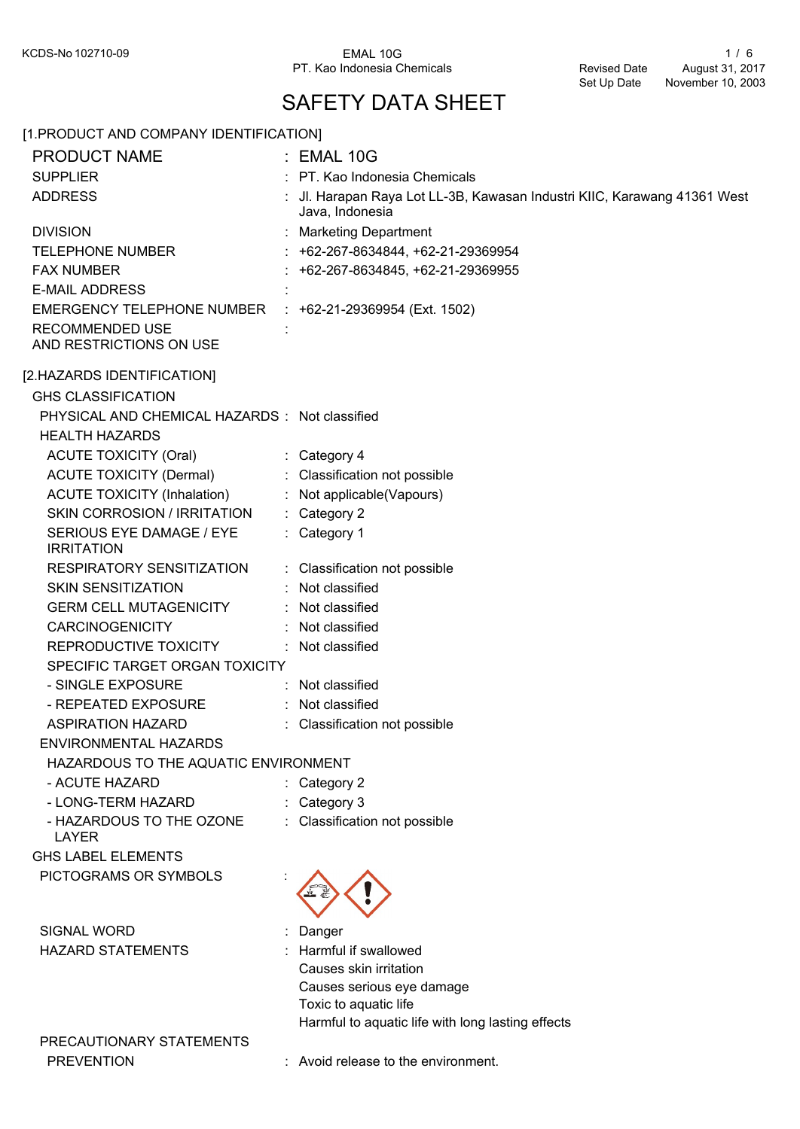PT. Kao Indonesia Chemicals

## SAFETY DATA SHEET

## [1.PRODUCT AND COMPANY IDENTIFICATION] PRODUCT NAME : EMAL 10G SUPPLIER : PT. Kao Indonesia Chemicals Jl. Harapan Raya Lot LL-3B, Kawasan Industri KIIC, Karawang 41361 West Java, Indonesia **ADDRESS** DIVISION : Marketing Department TELEPHONE NUMBER : +62-267-8634844, +62-21-29369954 FAX NUMBER : +62-267-8634845, +62-21-29369955 **E-MAIL ADDRESS** EMERGENCY TELEPHONE NUMBER : +62-21-29369954 (Ext. 1502) RECOMMENDED USE **in the set of the set of the set of the set of the set of the set of the set of the set of the set of the set of the set of the set of the set of the set of the set of the set of the set of the set of the** AND RESTRICTIONS ON USE [2.HAZARDS IDENTIFICATION] GHS CLASSIFICATION PHYSICAL AND CHEMICAL HAZARDS : Not classified HEALTH HAZARDS ACUTE TOXICITY (Oral) : Category 4 ACUTE TOXICITY (Dermal) : Classification not possible ACUTE TOXICITY (Inhalation) : Not applicable(Vapours) SKIN CORROSION / IRRITATION : Category 2 SERIOUS EYE DAMAGE / EYE : Category 1 **IRRITATION** RESPIRATORY SENSITIZATION : Classification not possible SKIN SENSITIZATION : Not classified GERM CELL MUTAGENICITY : Not classified CARCINOGENICITY : Not classified REPRODUCTIVE TOXICITY : Not classified SPECIFIC TARGET ORGAN TOXICITY - SINGLE EXPOSURE : Not classified - REPEATED EXPOSURE : Not classified ASPIRATION HAZARD : Classification not possible ENVIRONMENTAL HAZARDS HAZARDOUS TO THE AQUATIC ENVIRONMENT - ACUTE HAZARD : Category 2 - LONG-TERM HAZARD : Category 3 - HAZARDOUS TO THE OZONE : Classification not possible LAYER GHS LABEL ELEMENTS PICTOGRAMS OR SYMBOLS SIGNAL WORD : Danger HAZARD STATEMENTS : Harmful if swallowed Causes skin irritation Causes serious eye damage Toxic to aquatic life Harmful to aquatic life with long lasting effects PRECAUTIONARY STATEMENTS PREVENTION : Avoid release to the environment.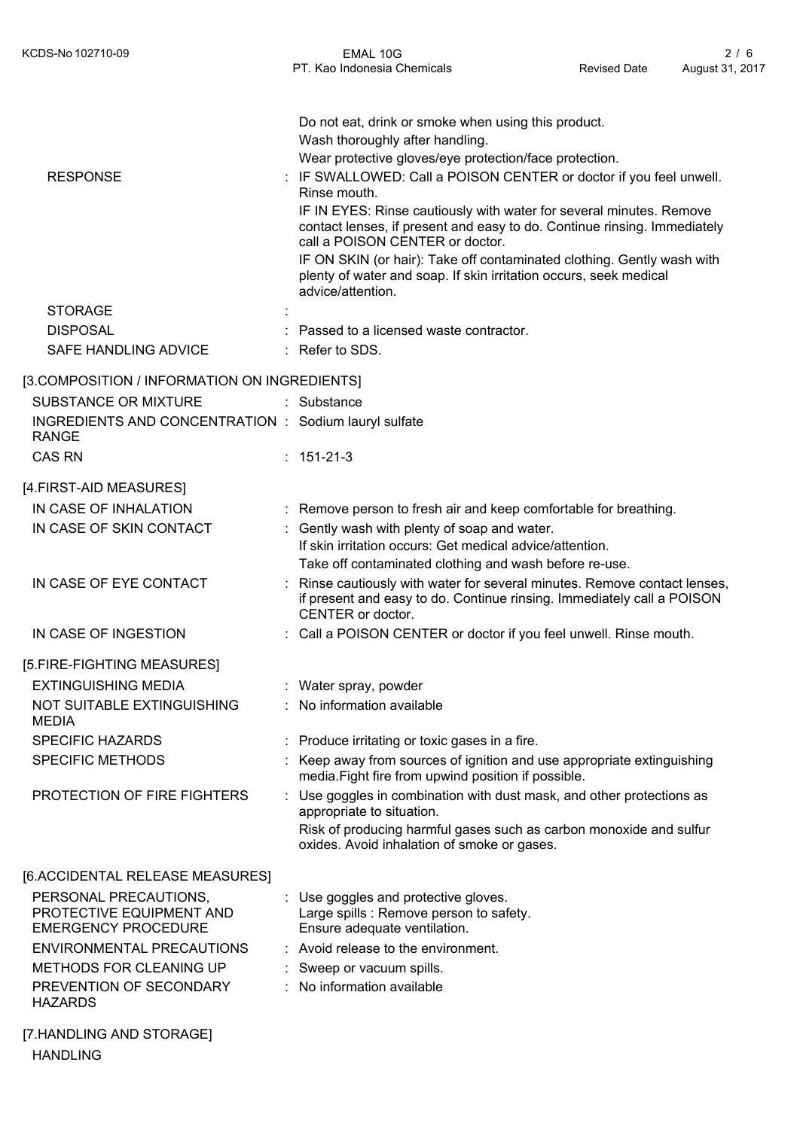|                                                                       | Do not eat, drink or smoke when using this product.<br>Wash thoroughly after handling.                                                                                             |
|-----------------------------------------------------------------------|------------------------------------------------------------------------------------------------------------------------------------------------------------------------------------|
| <b>RESPONSE</b>                                                       | Wear protective gloves/eye protection/face protection.<br>IF SWALLOWED: Call a POISON CENTER or doctor if you feel unwell.<br>Rinse mouth.                                         |
|                                                                       | IF IN EYES: Rinse cautiously with water for several minutes. Remove<br>contact lenses, if present and easy to do. Continue rinsing. Immediately<br>call a POISON CENTER or doctor. |
|                                                                       | IF ON SKIN (or hair): Take off contaminated clothing. Gently wash with<br>plenty of water and soap. If skin irritation occurs, seek medical<br>advice/attention.                   |
| <b>STORAGE</b>                                                        |                                                                                                                                                                                    |
| <b>DISPOSAL</b>                                                       | Passed to a licensed waste contractor.                                                                                                                                             |
| SAFE HANDLING ADVICE                                                  | Refer to SDS.                                                                                                                                                                      |
| [3.COMPOSITION / INFORMATION ON INGREDIENTS]                          |                                                                                                                                                                                    |
| <b>SUBSTANCE OR MIXTURE</b>                                           | : Substance                                                                                                                                                                        |
| INGREDIENTS AND CONCENTRATION : Sodium lauryl sulfate<br><b>RANGE</b> |                                                                                                                                                                                    |
| <b>CAS RN</b>                                                         | 151-21-3                                                                                                                                                                           |
| [4.FIRST-AID MEASURES]                                                |                                                                                                                                                                                    |
| IN CASE OF INHALATION                                                 | Remove person to fresh air and keep comfortable for breathing.                                                                                                                     |
| IN CASE OF SKIN CONTACT                                               | : Gently wash with plenty of soap and water.                                                                                                                                       |
|                                                                       | If skin irritation occurs: Get medical advice/attention.                                                                                                                           |
|                                                                       | Take off contaminated clothing and wash before re-use.                                                                                                                             |
| IN CASE OF EYE CONTACT                                                | Rinse cautiously with water for several minutes. Remove contact lenses,<br>if present and easy to do. Continue rinsing. Immediately call a POISON<br>CENTER or doctor.             |
| IN CASE OF INGESTION                                                  | Call a POISON CENTER or doctor if you feel unwell. Rinse mouth.                                                                                                                    |
| [5.FIRE-FIGHTING MEASURES]                                            |                                                                                                                                                                                    |
| <b>EXTINGUISHING MEDIA</b>                                            | Water spray, powder                                                                                                                                                                |
| NOT SUITABLE EXTINGUISHING<br><b>MEDIA</b>                            | No information available                                                                                                                                                           |
| <b>SPECIFIC HAZARDS</b>                                               | Produce irritating or toxic gases in a fire.                                                                                                                                       |
| <b>SPECIFIC METHODS</b>                                               | Keep away from sources of ignition and use appropriate extinguishing<br>media. Fight fire from upwind position if possible.                                                        |
| PROTECTION OF FIRE FIGHTERS                                           | Use goggles in combination with dust mask, and other protections as<br>appropriate to situation.                                                                                   |
|                                                                       | Risk of producing harmful gases such as carbon monoxide and sulfur<br>oxides. Avoid inhalation of smoke or gases.                                                                  |
| [6.ACCIDENTAL RELEASE MEASURES]                                       |                                                                                                                                                                                    |
| PERSONAL PRECAUTIONS,                                                 | Use goggles and protective gloves.                                                                                                                                                 |
| PROTECTIVE EQUIPMENT AND<br><b>EMERGENCY PROCEDURE</b>                | Large spills : Remove person to safety.<br>Ensure adequate ventilation.                                                                                                            |
| ENVIRONMENTAL PRECAUTIONS                                             | Avoid release to the environment.                                                                                                                                                  |
| <b>METHODS FOR CLEANING UP</b>                                        | Sweep or vacuum spills.                                                                                                                                                            |
| PREVENTION OF SECONDARY<br><b>HAZARDS</b>                             | No information available                                                                                                                                                           |
| [7.HANDLING AND STORAGE]                                              |                                                                                                                                                                                    |

HANDLING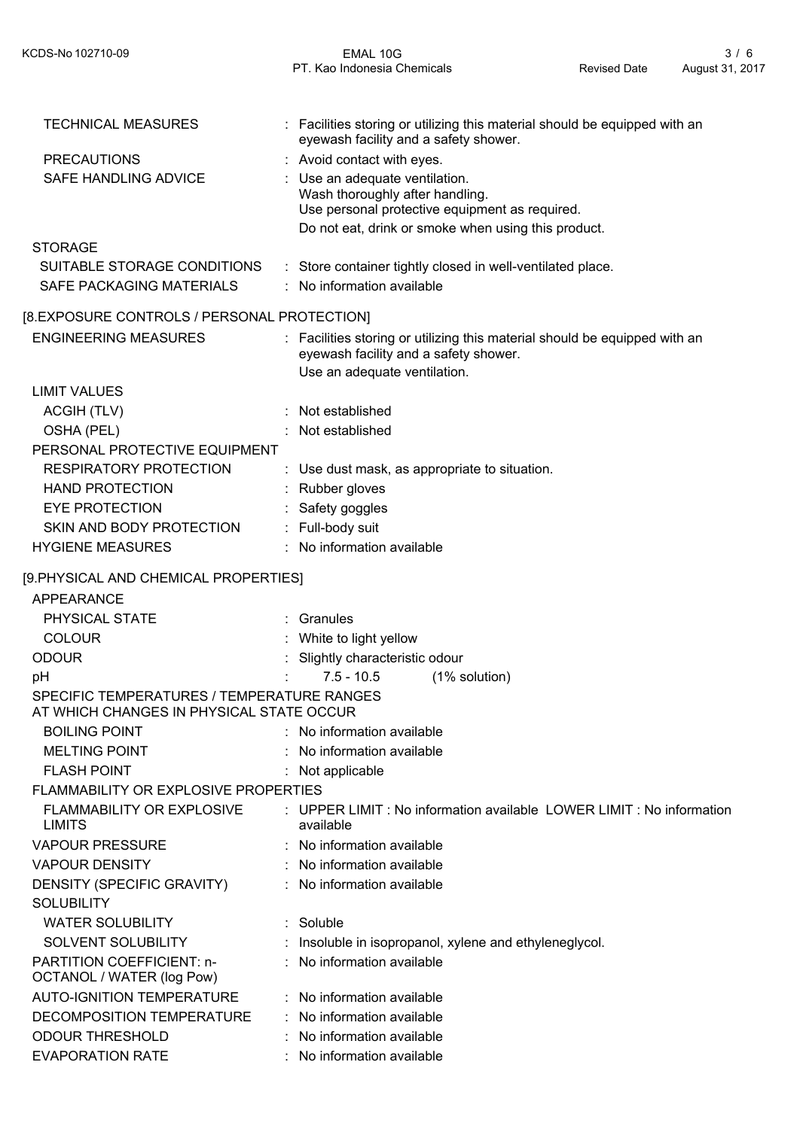| <b>TECHNICAL MEASURES</b>                               | : Facilities storing or utilizing this material should be equipped with an<br>eyewash facility and a safety shower.                                                      |
|---------------------------------------------------------|--------------------------------------------------------------------------------------------------------------------------------------------------------------------------|
| <b>PRECAUTIONS</b>                                      | : Avoid contact with eyes.                                                                                                                                               |
| SAFE HANDLING ADVICE                                    | Use an adequate ventilation.<br>Wash thoroughly after handling.<br>Use personal protective equipment as required.<br>Do not eat, drink or smoke when using this product. |
| <b>STORAGE</b>                                          |                                                                                                                                                                          |
| SUITABLE STORAGE CONDITIONS<br>SAFE PACKAGING MATERIALS | : Store container tightly closed in well-ventilated place.<br>No information available                                                                                   |
| [8.EXPOSURE CONTROLS / PERSONAL PROTECTION]             |                                                                                                                                                                          |
| <b>ENGINEERING MEASURES</b>                             | : Facilities storing or utilizing this material should be equipped with an<br>eyewash facility and a safety shower.                                                      |
|                                                         | Use an adequate ventilation.                                                                                                                                             |
| <b>LIMIT VALUES</b>                                     |                                                                                                                                                                          |
| ACGIH (TLV)                                             | Not established                                                                                                                                                          |
| OSHA (PEL)                                              | Not established                                                                                                                                                          |
| PERSONAL PROTECTIVE EQUIPMENT                           |                                                                                                                                                                          |
| <b>RESPIRATORY PROTECTION</b>                           | : Use dust mask, as appropriate to situation.                                                                                                                            |
| <b>HAND PROTECTION</b>                                  | : Rubber gloves                                                                                                                                                          |
| <b>EYE PROTECTION</b>                                   | Safety goggles                                                                                                                                                           |
| SKIN AND BODY PROTECTION                                | : Full-body suit                                                                                                                                                         |
| <b>HYGIENE MEASURES</b>                                 | : No information available                                                                                                                                               |
| [9.PHYSICAL AND CHEMICAL PROPERTIES]                    |                                                                                                                                                                          |
| APPEARANCE                                              |                                                                                                                                                                          |
| PHYSICAL STATE                                          | : Granules                                                                                                                                                               |
| <b>COLOUR</b>                                           | White to light yellow                                                                                                                                                    |
| <b>ODOUR</b>                                            | Slightly characteristic odour                                                                                                                                            |
| pH                                                      | $7.5 - 10.5$<br>(1% solution)                                                                                                                                            |
| SPECIFIC TEMPERATURES / TEMPERATURE RANGES              |                                                                                                                                                                          |
| AT WHICH CHANGES IN PHYSICAL STATE OCCUR                |                                                                                                                                                                          |
| <b>BOILING POINT</b>                                    | : No information available                                                                                                                                               |
| <b>MELTING POINT</b>                                    | No information available                                                                                                                                                 |
| <b>FLASH POINT</b>                                      | Not applicable                                                                                                                                                           |
| <b>FLAMMABILITY OR EXPLOSIVE PROPERTIES</b>             |                                                                                                                                                                          |
| FLAMMABILITY OR EXPLOSIVE<br><b>LIMITS</b>              | : UPPER LIMIT : No information available LOWER LIMIT : No information<br>available                                                                                       |
| <b>VAPOUR PRESSURE</b>                                  | : No information available                                                                                                                                               |
| <b>VAPOUR DENSITY</b>                                   | : No information available                                                                                                                                               |
| DENSITY (SPECIFIC GRAVITY)                              | : No information available                                                                                                                                               |
| <b>SOLUBILITY</b>                                       |                                                                                                                                                                          |
| <b>WATER SOLUBILITY</b>                                 | : Soluble                                                                                                                                                                |
| SOLVENT SOLUBILITY                                      | : Insoluble in isopropanol, xylene and ethyleneglycol.                                                                                                                   |
| PARTITION COEFFICIENT: n-<br>OCTANOL / WATER (log Pow)  | No information available                                                                                                                                                 |
| AUTO-IGNITION TEMPERATURE                               | : No information available                                                                                                                                               |
| DECOMPOSITION TEMPERATURE                               | : No information available                                                                                                                                               |
| <b>ODOUR THRESHOLD</b>                                  | No information available                                                                                                                                                 |
| <b>EVAPORATION RATE</b>                                 | : No information available                                                                                                                                               |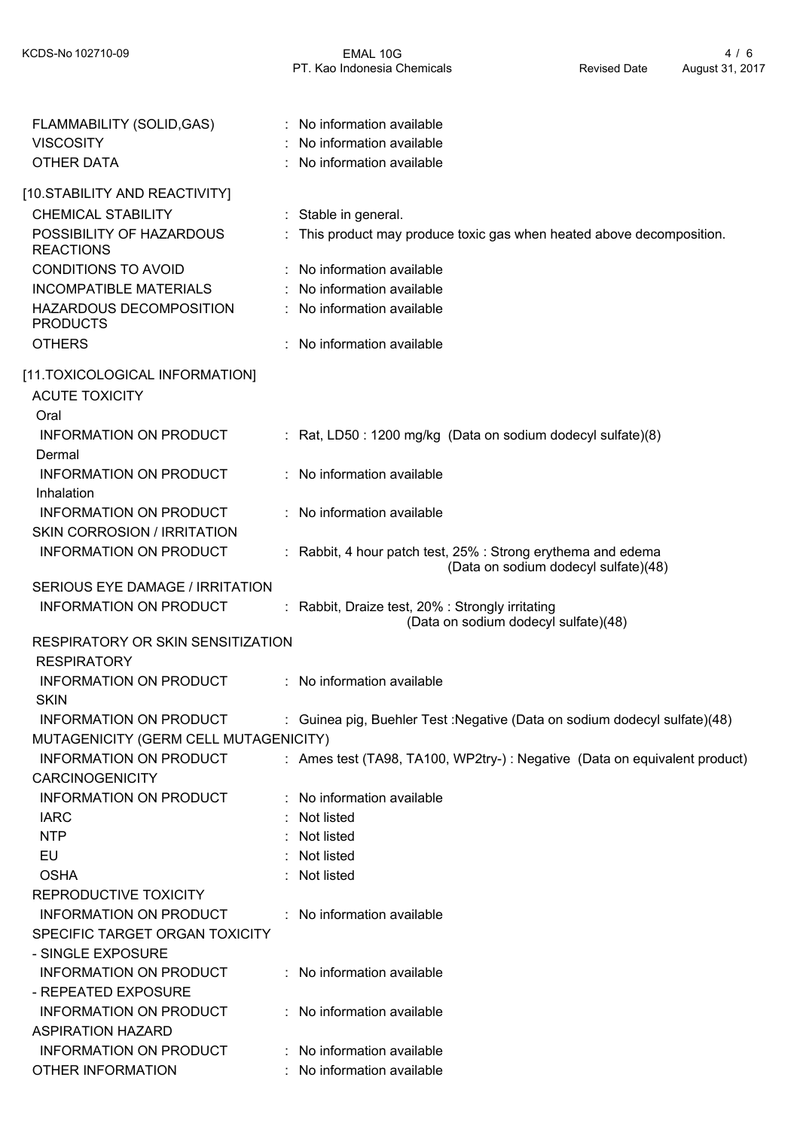| FLAMMABILITY (SOLID, GAS)<br><b>VISCOSITY</b> | : No information available<br>No information available                                               |
|-----------------------------------------------|------------------------------------------------------------------------------------------------------|
| <b>OTHER DATA</b>                             | No information available                                                                             |
| [10.STABILITY AND REACTIVITY]                 |                                                                                                      |
| <b>CHEMICAL STABILITY</b>                     | : Stable in general.                                                                                 |
| POSSIBILITY OF HAZARDOUS<br><b>REACTIONS</b>  | This product may produce toxic gas when heated above decomposition.                                  |
| <b>CONDITIONS TO AVOID</b>                    | : No information available                                                                           |
| <b>INCOMPATIBLE MATERIALS</b>                 | : No information available                                                                           |
| HAZARDOUS DECOMPOSITION<br><b>PRODUCTS</b>    | : No information available                                                                           |
| <b>OTHERS</b>                                 | No information available                                                                             |
| [11.TOXICOLOGICAL INFORMATION]                |                                                                                                      |
| <b>ACUTE TOXICITY</b>                         |                                                                                                      |
| Oral                                          |                                                                                                      |
| <b>INFORMATION ON PRODUCT</b><br>Dermal       | : Rat, LD50 : 1200 mg/kg (Data on sodium dodecyl sulfate)(8)                                         |
| INFORMATION ON PRODUCT                        | : No information available                                                                           |
| Inhalation                                    |                                                                                                      |
| <b>INFORMATION ON PRODUCT</b>                 | : No information available                                                                           |
| <b>SKIN CORROSION / IRRITATION</b>            |                                                                                                      |
| <b>INFORMATION ON PRODUCT</b>                 | : Rabbit, 4 hour patch test, 25% : Strong erythema and edema<br>(Data on sodium dodecyl sulfate)(48) |
| SERIOUS EYE DAMAGE / IRRITATION               |                                                                                                      |
| <b>INFORMATION ON PRODUCT</b>                 | : Rabbit, Draize test, 20% : Strongly irritating                                                     |
|                                               | (Data on sodium dodecyl sulfate)(48)                                                                 |
| <b>RESPIRATORY OR SKIN SENSITIZATION</b>      |                                                                                                      |
| <b>RESPIRATORY</b>                            |                                                                                                      |
| <b>INFORMATION ON PRODUCT</b>                 | : No information available                                                                           |
| <b>SKIN</b>                                   |                                                                                                      |
| <b>INFORMATION ON PRODUCT</b>                 | : Guinea pig, Buehler Test : Negative (Data on sodium dodecyl sulfate)(48)                           |
| MUTAGENICITY (GERM CELL MUTAGENICITY)         |                                                                                                      |
| <b>INFORMATION ON PRODUCT</b>                 | : Ames test (TA98, TA100, WP2try-) : Negative (Data on equivalent product)                           |
| <b>CARCINOGENICITY</b>                        |                                                                                                      |
| INFORMATION ON PRODUCT                        | : No information available                                                                           |
| <b>IARC</b>                                   | : Not listed                                                                                         |
| <b>NTP</b>                                    | : Not listed                                                                                         |
| EU                                            | Not listed                                                                                           |
| <b>OSHA</b>                                   | : Not listed                                                                                         |
| REPRODUCTIVE TOXICITY                         |                                                                                                      |
| INFORMATION ON PRODUCT                        | : No information available                                                                           |
| SPECIFIC TARGET ORGAN TOXICITY                |                                                                                                      |
| - SINGLE EXPOSURE                             |                                                                                                      |
| INFORMATION ON PRODUCT                        | : No information available                                                                           |
| - REPEATED EXPOSURE                           |                                                                                                      |
| INFORMATION ON PRODUCT                        | : No information available                                                                           |
| <b>ASPIRATION HAZARD</b>                      |                                                                                                      |
| INFORMATION ON PRODUCT                        | : No information available                                                                           |
| <b>OTHER INFORMATION</b>                      | No information available                                                                             |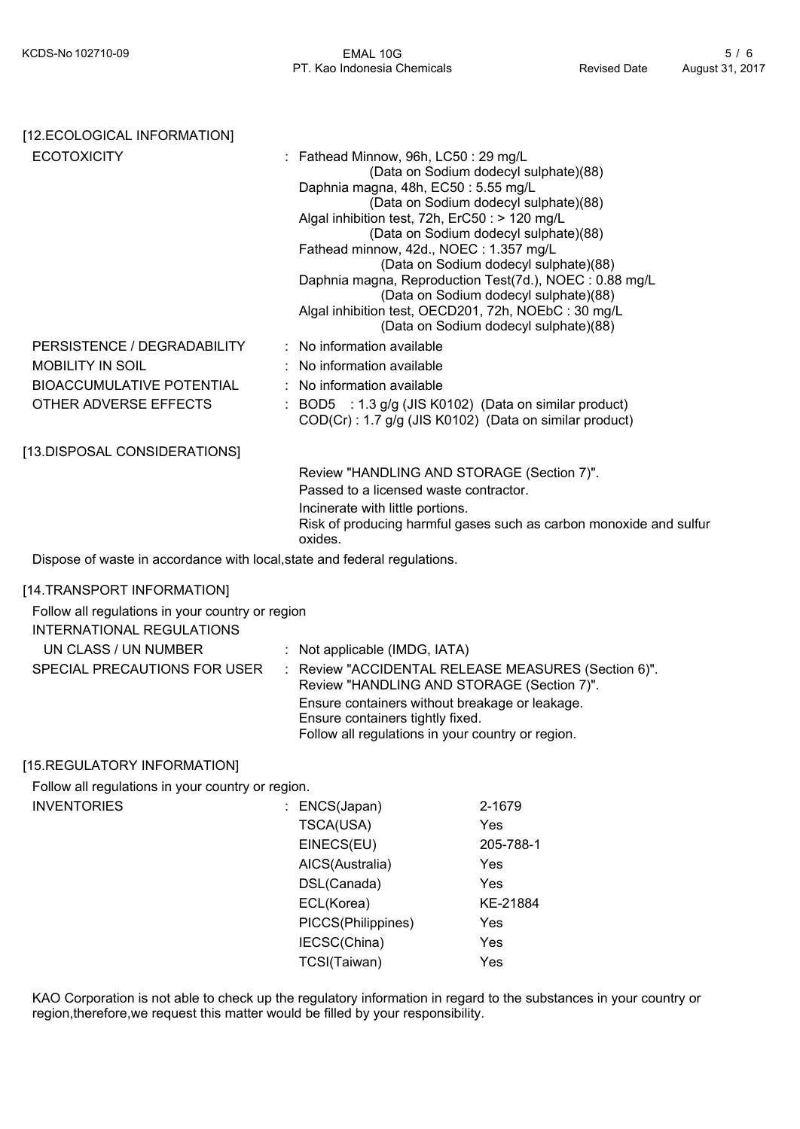| [12.ECOLOGICAL INFORMATION]                                                          |                                                                                                                                                                                                                              |                                                                                                                                                                                                                                                                                                              |
|--------------------------------------------------------------------------------------|------------------------------------------------------------------------------------------------------------------------------------------------------------------------------------------------------------------------------|--------------------------------------------------------------------------------------------------------------------------------------------------------------------------------------------------------------------------------------------------------------------------------------------------------------|
| <b>ECOTOXICITY</b>                                                                   | Fathead Minnow, 96h, LC50: 29 mg/L<br>Daphnia magna, 48h, EC50: 5.55 mg/L<br>Algal inhibition test, 72h, ErC50 : > 120 mg/L<br>Fathead minnow, 42d., NOEC: 1.357 mg/L<br>Algal inhibition test, OECD201, 72h, NOEbC: 30 mg/L | (Data on Sodium dodecyl sulphate)(88)<br>(Data on Sodium dodecyl sulphate)(88)<br>(Data on Sodium dodecyl sulphate)(88)<br>(Data on Sodium dodecyl sulphate)(88)<br>Daphnia magna, Reproduction Test(7d.), NOEC: 0.88 mg/L<br>(Data on Sodium dodecyl sulphate)(88)<br>(Data on Sodium dodecyl sulphate)(88) |
| PERSISTENCE / DEGRADABILITY                                                          | No information available                                                                                                                                                                                                     |                                                                                                                                                                                                                                                                                                              |
| <b>MOBILITY IN SOIL</b>                                                              | No information available                                                                                                                                                                                                     |                                                                                                                                                                                                                                                                                                              |
| <b>BIOACCUMULATIVE POTENTIAL</b>                                                     | No information available                                                                                                                                                                                                     |                                                                                                                                                                                                                                                                                                              |
| OTHER ADVERSE EFFECTS                                                                | BOD5 : 1.3 g/g (JIS K0102) (Data on similar product)<br>COD(Cr): 1.7 g/g (JIS K0102) (Data on similar product)                                                                                                               |                                                                                                                                                                                                                                                                                                              |
| [13.DISPOSAL CONSIDERATIONS]                                                         |                                                                                                                                                                                                                              |                                                                                                                                                                                                                                                                                                              |
|                                                                                      | Review "HANDLING AND STORAGE (Section 7)".<br>Passed to a licensed waste contractor.<br>Incinerate with little portions.<br>oxides.                                                                                          | Risk of producing harmful gases such as carbon monoxide and sulfur                                                                                                                                                                                                                                           |
| Dispose of waste in accordance with local, state and federal regulations.            |                                                                                                                                                                                                                              |                                                                                                                                                                                                                                                                                                              |
| [14.TRANSPORT INFORMATION]                                                           |                                                                                                                                                                                                                              |                                                                                                                                                                                                                                                                                                              |
| Follow all regulations in your country or region<br><b>INTERNATIONAL REGULATIONS</b> |                                                                                                                                                                                                                              |                                                                                                                                                                                                                                                                                                              |
| UN CLASS / UN NUMBER                                                                 | : Not applicable (IMDG, IATA)                                                                                                                                                                                                |                                                                                                                                                                                                                                                                                                              |
| SPECIAL PRECAUTIONS FOR USER<br>÷                                                    | Review "HANDLING AND STORAGE (Section 7)".                                                                                                                                                                                   | Review "ACCIDENTAL RELEASE MEASURES (Section 6)".                                                                                                                                                                                                                                                            |
|                                                                                      | Ensure containers without breakage or leakage.<br>Ensure containers tightly fixed.<br>Follow all regulations in your country or region.                                                                                      |                                                                                                                                                                                                                                                                                                              |
| [15.REGULATORY INFORMATION]                                                          |                                                                                                                                                                                                                              |                                                                                                                                                                                                                                                                                                              |
| Follow all regulations in your country or region.                                    |                                                                                                                                                                                                                              |                                                                                                                                                                                                                                                                                                              |
| <b>INVENTORIES</b>                                                                   | ENCS(Japan)                                                                                                                                                                                                                  | 2-1679                                                                                                                                                                                                                                                                                                       |
|                                                                                      | TSCA(USA)                                                                                                                                                                                                                    | Yes                                                                                                                                                                                                                                                                                                          |
|                                                                                      | EINECS(EU)                                                                                                                                                                                                                   | 205-788-1                                                                                                                                                                                                                                                                                                    |
|                                                                                      | AICS(Australia)                                                                                                                                                                                                              | Yes                                                                                                                                                                                                                                                                                                          |
|                                                                                      | DSL(Canada)                                                                                                                                                                                                                  | Yes                                                                                                                                                                                                                                                                                                          |
|                                                                                      | ECL(Korea)                                                                                                                                                                                                                   | KE-21884                                                                                                                                                                                                                                                                                                     |
|                                                                                      | PICCS(Philippines)                                                                                                                                                                                                           | Yes                                                                                                                                                                                                                                                                                                          |
|                                                                                      | IECSC(China)                                                                                                                                                                                                                 | Yes                                                                                                                                                                                                                                                                                                          |
|                                                                                      | TCSI(Taiwan)                                                                                                                                                                                                                 | Yes                                                                                                                                                                                                                                                                                                          |
|                                                                                      |                                                                                                                                                                                                                              |                                                                                                                                                                                                                                                                                                              |

KAO Corporation is not able to check up the regulatory information in regard to the substances in your country or region,therefore,we request this matter would be filled by your responsibility.